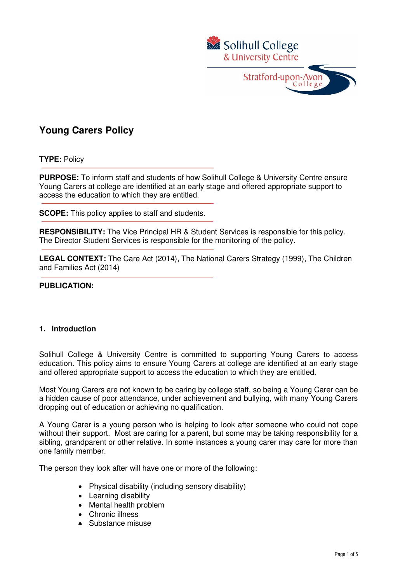

# **Young Carers Policy**

**TYPE:** Policy

**PURPOSE:** To inform staff and students of how Solihull College & University Centre ensure Young Carers at college are identified at an early stage and offered appropriate support to access the education to which they are entitled.

j **SCOPE:** This policy applies to staff and students.

**RESPONSIBILITY:** The Vice Principal HR & Student Services is responsible for this policy. The Director Student Services is responsible for the monitoring of the policy.

**LEGAL CONTEXT:** The Care Act (2014), The National Carers Strategy (1999), The Children and Families Act (2014)

#### **PUBLICATION:**

# **1. Introduction**

Solihull College & University Centre is committed to supporting Young Carers to access education. This policy aims to ensure Young Carers at college are identified at an early stage and offered appropriate support to access the education to which they are entitled.

Most Young Carers are not known to be caring by college staff, so being a Young Carer can be a hidden cause of poor attendance, under achievement and bullying, with many Young Carers dropping out of education or achieving no qualification.

A Young Carer is a young person who is helping to look after someone who could not cope without their support. Most are caring for a parent, but some may be taking responsibility for a sibling, grandparent or other relative. In some instances a young carer may care for more than one family member.

The person they look after will have one or more of the following:

- Physical disability (including sensory disability)
- Learning disability
- Mental health problem
- Chronic illness
- Substance misuse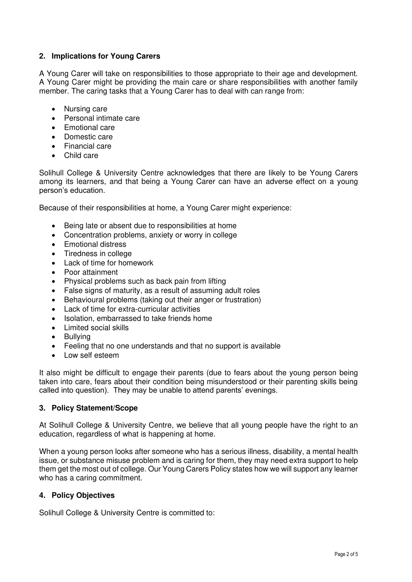# **2. Implications for Young Carers**

A Young Carer will take on responsibilities to those appropriate to their age and development. A Young Carer might be providing the main care or share responsibilities with another family member. The caring tasks that a Young Carer has to deal with can range from:

- Nursing care
- Personal intimate care
- Emotional care
- Domestic care
- Financial care
- Child care

Solihull College & University Centre acknowledges that there are likely to be Young Carers among its learners, and that being a Young Carer can have an adverse effect on a young person's education.

Because of their responsibilities at home, a Young Carer might experience:

- Being late or absent due to responsibilities at home
- Concentration problems, anxiety or worry in college
- Emotional distress
- Tiredness in college
- Lack of time for homework
- Poor attainment
- Physical problems such as back pain from lifting
- False signs of maturity, as a result of assuming adult roles
- Behavioural problems (taking out their anger or frustration)
- Lack of time for extra-curricular activities
- Isolation, embarrassed to take friends home
- Limited social skills
- Bullying
- Feeling that no one understands and that no support is available
- Low self esteem

It also might be difficult to engage their parents (due to fears about the young person being taken into care, fears about their condition being misunderstood or their parenting skills being called into question). They may be unable to attend parents' evenings.

# **3. Policy Statement/Scope**

At Solihull College & University Centre, we believe that all young people have the right to an education, regardless of what is happening at home.

When a young person looks after someone who has a serious illness, disability, a mental health issue, or substance misuse problem and is caring for them, they may need extra support to help them get the most out of college. Our Young Carers Policy states how we will support any learner who has a caring commitment.

# **4. Policy Objectives**

Solihull College & University Centre is committed to: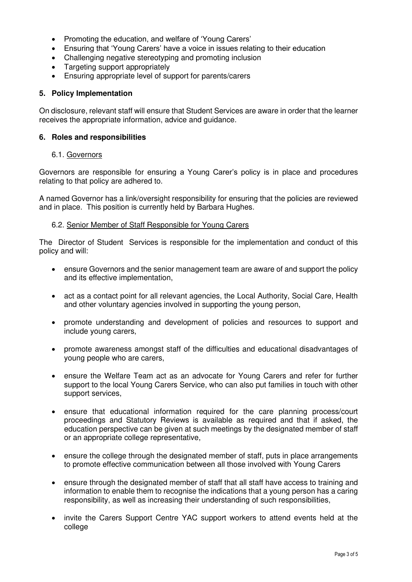- Promoting the education, and welfare of 'Young Carers'
- Ensuring that 'Young Carers' have a voice in issues relating to their education
- Challenging negative stereotyping and promoting inclusion
- Targeting support appropriately
- Ensuring appropriate level of support for parents/carers

# **5. Policy Implementation**

On disclosure, relevant staff will ensure that Student Services are aware in order that the learner receives the appropriate information, advice and guidance.

### **6. Roles and responsibilities**

#### 6.1. Governors

Governors are responsible for ensuring a Young Carer's policy is in place and procedures relating to that policy are adhered to.

A named Governor has a link/oversight responsibility for ensuring that the policies are reviewed and in place. This position is currently held by Barbara Hughes.

#### 6.2. Senior Member of Staff Responsible for Young Carers

The Director of Student Services is responsible for the implementation and conduct of this policy and will:

- ensure Governors and the senior management team are aware of and support the policy and its effective implementation,
- act as a contact point for all relevant agencies, the Local Authority, Social Care, Health and other voluntary agencies involved in supporting the young person,
- promote understanding and development of policies and resources to support and include young carers,
- promote awareness amongst staff of the difficulties and educational disadvantages of young people who are carers,
- ensure the Welfare Team act as an advocate for Young Carers and refer for further support to the local Young Carers Service, who can also put families in touch with other support services,
- ensure that educational information required for the care planning process/court proceedings and Statutory Reviews is available as required and that if asked, the education perspective can be given at such meetings by the designated member of staff or an appropriate college representative,
- ensure the college through the designated member of staff, puts in place arrangements to promote effective communication between all those involved with Young Carers
- ensure through the designated member of staff that all staff have access to training and information to enable them to recognise the indications that a young person has a caring responsibility, as well as increasing their understanding of such responsibilities,
- invite the Carers Support Centre YAC support workers to attend events held at the college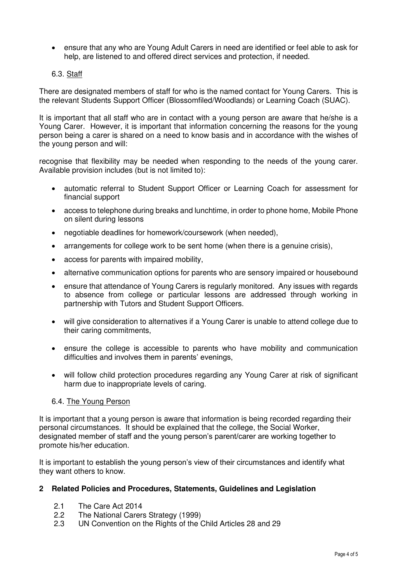- ensure that any who are Young Adult Carers in need are identified or feel able to ask for help, are listened to and offered direct services and protection, if needed.
- 6.3. Staff

There are designated members of staff for who is the named contact for Young Carers. This is the relevant Students Support Officer (Blossomfiled/Woodlands) or Learning Coach (SUAC).

It is important that all staff who are in contact with a young person are aware that he/she is a Young Carer. However, it is important that information concerning the reasons for the young person being a carer is shared on a need to know basis and in accordance with the wishes of the young person and will:

recognise that flexibility may be needed when responding to the needs of the young carer. Available provision includes (but is not limited to):

- automatic referral to Student Support Officer or Learning Coach for assessment for financial support
- access to telephone during breaks and lunchtime, in order to phone home, Mobile Phone on silent during lessons
- negotiable deadlines for homework/coursework (when needed),
- arrangements for college work to be sent home (when there is a genuine crisis),
- access for parents with impaired mobility,
- alternative communication options for parents who are sensory impaired or housebound
- ensure that attendance of Young Carers is regularly monitored. Any issues with regards to absence from college or particular lessons are addressed through working in partnership with Tutors and Student Support Officers.
- will give consideration to alternatives if a Young Carer is unable to attend college due to their caring commitments,
- ensure the college is accessible to parents who have mobility and communication difficulties and involves them in parents' evenings,
- will follow child protection procedures regarding any Young Carer at risk of significant harm due to inappropriate levels of caring.

#### 6.4. The Young Person

It is important that a young person is aware that information is being recorded regarding their personal circumstances. It should be explained that the college, the Social Worker, designated member of staff and the young person's parent/carer are working together to promote his/her education.

It is important to establish the young person's view of their circumstances and identify what they want others to know.

#### **2 Related Policies and Procedures, Statements, Guidelines and Legislation**

- 2.1 The Care Act 2014
- 2.2 The National Carers Strategy (1999)
- 2.3 UN Convention on the Rights of the Child Articles 28 and 29